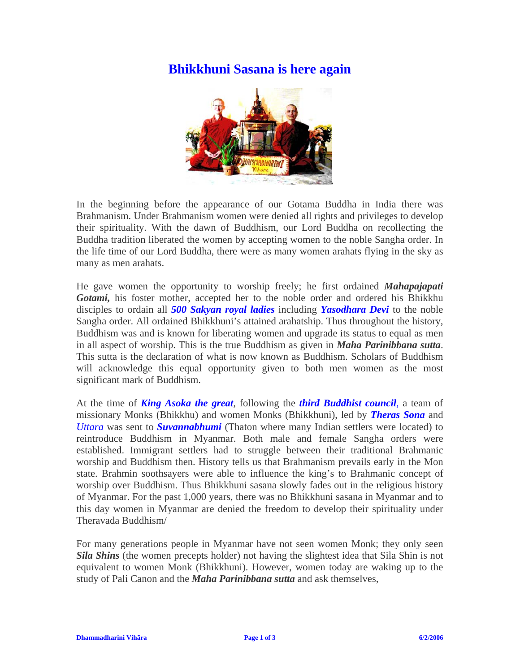## **Bhikkhuni Sasana is here again**



In the beginning before the appearance of our Gotama Buddha in India there was Brahmanism. Under Brahmanism women were denied all rights and privileges to develop their spirituality. With the dawn of Buddhism, our Lord Buddha on recollecting the Buddha tradition liberated the women by accepting women to the noble Sangha order. In the life time of our Lord Buddha, there were as many women arahats flying in the sky as many as men arahats.

He gave women the opportunity to worship freely; he first ordained *Mahapajapati Gotami,* his foster mother, accepted her to the noble order and ordered his Bhikkhu disciples to ordain all *500 Sakyan royal ladies* including *Yasodhara Devi* to the noble Sangha order. All ordained Bhikkhuni's attained arahatship. Thus throughout the history, Buddhism was and is known for liberating women and upgrade its status to equal as men in all aspect of worship. This is the true Buddhism as given in *Maha Parinibbana sutta*. This sutta is the declaration of what is now known as Buddhism. Scholars of Buddhism will acknowledge this equal opportunity given to both men women as the most significant mark of Buddhism.

At the time of *King Asoka the great*, following the *third Buddhist council*, a team of missionary Monks (Bhikkhu) and women Monks (Bhikkhuni), led by *Theras Sona* and *Uttara* was sent to *Suvannabhumi* (Thaton where many Indian settlers were located) to reintroduce Buddhism in Myanmar. Both male and female Sangha orders were established. Immigrant settlers had to struggle between their traditional Brahmanic worship and Buddhism then. History tells us that Brahmanism prevails early in the Mon state. Brahmin soothsayers were able to influence the king's to Brahmanic concept of worship over Buddhism. Thus Bhikkhuni sasana slowly fades out in the religious history of Myanmar. For the past 1,000 years, there was no Bhikkhuni sasana in Myanmar and to this day women in Myanmar are denied the freedom to develop their spirituality under Theravada Buddhism/

For many generations people in Myanmar have not seen women Monk; they only seen *Sila Shins* (the women precepts holder) not having the slightest idea that Sila Shin is not equivalent to women Monk (Bhikkhuni). However, women today are waking up to the study of Pali Canon and the *Maha Parinibbana sutta* and ask themselves,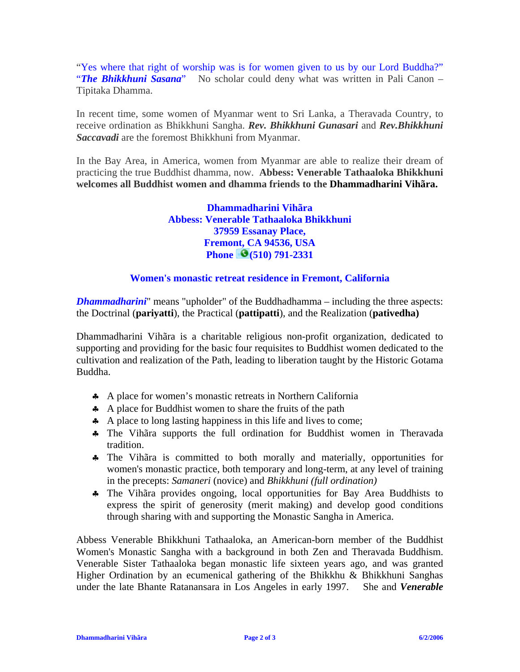"Yes where that right of worship was is for women given to us by our Lord Buddha?" "**The Bhikkhuni Sasana**" No scholar could deny what was written in Pali Canon – Tipitaka Dhamma.

In recent time, some women of Myanmar went to Sri Lanka, a Theravada Country, to receive ordination as Bhikkhuni Sangha. *Rev. Bhikkhuni Gunasari* and *Rev.Bhikkhuni Saccavadi* are the foremost Bhikkhuni from Myanmar.

In the Bay Area, in America, women from Myanmar are able to realize their dream of practicing the true Buddhist dhamma, now. **Abbess: Venerable Tathaaloka Bhikkhuni welcomes all Buddhist women and dhamma friends to the Dhammadharini Vihãra.**

> **Dhammadharini Vihãra Abbess: Venerable Tathaaloka Bhikkhuni 37959 Essanay Place, Fremont, CA 94536, USA Phone (510) 791-2331**

## **Women's monastic retreat residence in Fremont, California**

*Dhammadharini*" means "upholder" of the Buddhadhamma – including the three aspects: the Doctrinal (**pariyatti**), the Practical (**pattipatti**), and the Realization (**pativedha)**

Dhammadharini Vihãra is a charitable religious non-profit organization, dedicated to supporting and providing for the basic four requisites to Buddhist women dedicated to the cultivation and realization of the Path, leading to liberation taught by the Historic Gotama Buddha.

- ♣ A place for women's monastic retreats in Northern California
- ♣ A place for Buddhist women to share the fruits of the path
- ♣ A place to long lasting happiness in this life and lives to come;
- ♣ The Vihãra supports the full ordination for Buddhist women in Theravada tradition.
- ♣ The Vihãra is committed to both morally and materially, opportunities for women's monastic practice, both temporary and long-term, at any level of training in the precepts: *Samaneri* (novice) and *Bhikkhuni (full ordination)*
- ♣ The Vihãra provides ongoing, local opportunities for Bay Area Buddhists to express the spirit of generosity (merit making) and develop good conditions through sharing with and supporting the Monastic Sangha in America.

Abbess Venerable Bhikkhuni Tathaaloka, an American-born member of the Buddhist Women's Monastic Sangha with a background in both Zen and Theravada Buddhism. Venerable Sister Tathaaloka began monastic life sixteen years ago, and was granted Higher Ordination by an ecumenical gathering of the Bhikkhu & Bhikkhuni Sanghas under the late Bhante Ratanansara in Los Angeles in early 1997. She and *Venerable*